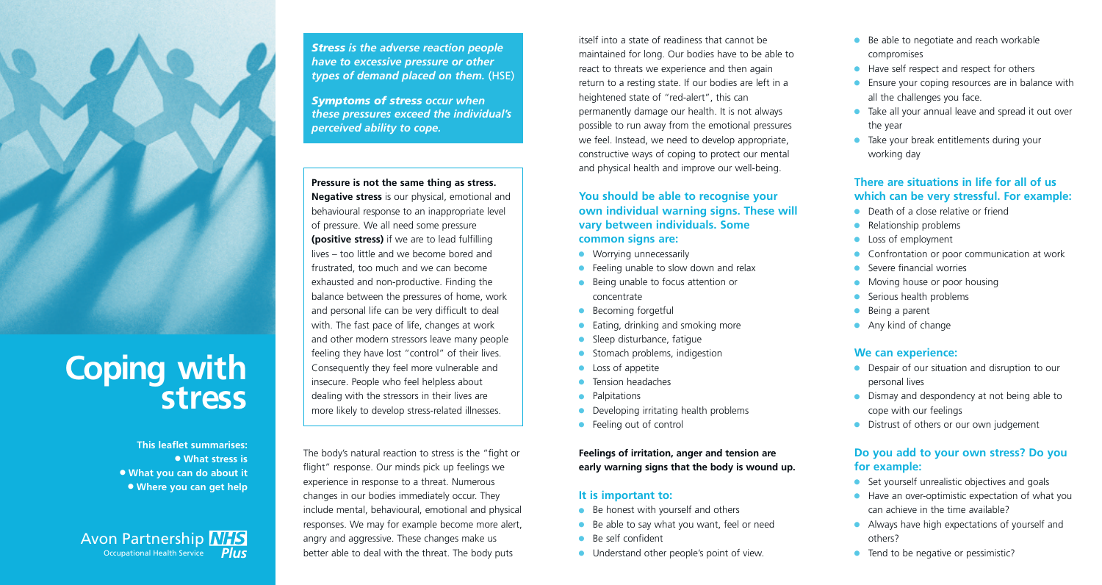

# **Coping with stress**

**This leaflet summarises:** l **What stress is** <sup>l</sup> **What you can do about it** <sup>l</sup> **Where you can get help**

Avon Partnership **NHS** Occupational Health Service *Plus* *Stress is the adverse reaction people have to excessive pressure or other types of demand placed on them.* (HSE)

*Symptoms of stress occur when these pressures exceed the individual's perceived ability to cope.*

**Pressure is not the same thing as stress. Negative stress** is our physical, emotional and behavioural response to an inappropriate level of pressure. We all need some pressure **(positive stress)** if we are to lead fulfilling lives – too little and we become bored and frustrated, too much and we can become exhausted and non-productive. Finding the balance between the pressures of home, work and personal life can be very difficult to deal with. The fast pace of life, changes at work and other modern stressors leave many people feeling they have lost "control" of their lives. Consequently they feel more vulnerable and insecure. People who feel helpless about dealing with the stressors in their lives are more likely to develop stress-related illnesses.

The body's natural reaction to stress is the "fight or flight" response. Our minds pick up feelings we experience in response to a threat. Numerous changes in our bodies immediately occur. They include mental, behavioural, emotional and physical responses. We may for example become more alert, angry and aggressive. These changes make us better able to deal with the threat. The body puts

itself into a state of readiness that cannot be maintained for long. Our bodies have to be able to react to threats we experience and then again return to a resting state. If our bodies are left in a heightened state of "red-alert", this can permanently damage our health. It is not always possible to run away from the emotional pressures we feel. Instead, we need to develop appropriate, constructive ways of coping to protect our mental and physical health and improve our well-being.

**You should be able to recognise your own individual warning signs. These will vary between individuals. Some common signs are:**

- $\bullet$  Worrying unnecessarily
- $\bullet$  Feeling unable to slow down and relax
- Being unable to focus attention or concentrate
- Becoming forgetful
- Eating, drinking and smoking more
- Sleep disturbance, fatigue
- Stomach problems, indigestion
- <sup>l</sup> Loss of appetite
- Tension headaches
- **Palpitations**
- Developing irritating health problems
- $\bullet$  Feeling out of control

**Feelings of irritation, anger and tension are early warning signs that the body is wound up.**

#### **It is important to:**

- $\bullet$  Be honest with yourself and others
- Be able to say what you want, feel or need
- Be self confident
- $\bullet$  Understand other people's point of view.
- $\bullet$  Be able to negotiate and reach workable compromises
- $\bullet$  Have self respect and respect for others
- $\bullet$  Ensure your coping resources are in balance with all the challenges you face.
- **Take all your annual leave and spread it out over** the year
- $\bullet$  Take your break entitlements during your working day

#### **There are situations in life for all of us which can be very stressful. For example:**

- $\bullet$  Death of a close relative or friend
- $\bullet$  Relationship problems
- **Loss of employment**
- **Confrontation or poor communication at work**
- $\bullet$  Severe financial worries
- Moving house or poor housing
- $\bullet$  Serious health problems
- $\bullet$  Being a parent
- $\bullet$  Any kind of change

#### **We can experience:**

- **•** Despair of our situation and disruption to our personal lives
- $\bullet$  Dismay and despondency at not being able to cope with our feelings
- **•** Distrust of others or our own judgement

#### **Do you add to your own stress? Do you for example:**

- $\bullet$  Set yourself unrealistic objectives and goals
- $\bullet$  Have an over-optimistic expectation of what you can achieve in the time available?
- $\bullet$  Always have high expectations of yourself and others?
- $\bullet$  Tend to be negative or pessimistic?